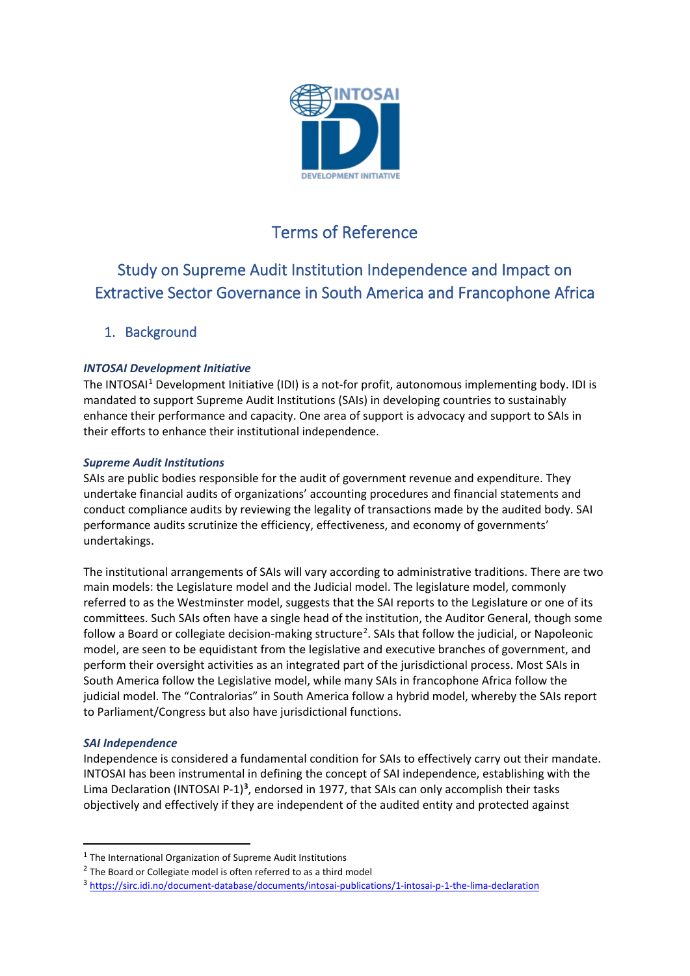

# Terms of Reference

# Study on Supreme Audit Institution Independence and Impact on Extractive Sector Governance in South America and Francophone Africa

## 1. Background

#### *INTOSAI Development Initiative*

The INTOSAI<sup>[1](#page-0-0)</sup> Development Initiative (IDI) is a not-for profit, autonomous implementing body. IDI is mandated to support Supreme Audit Institutions (SAIs) in developing countries to sustainably enhance their performance and capacity. One area of support is advocacy and support to SAIs in their efforts to enhance their institutional independence.

#### *Supreme Audit Institutions*

SAIs are public bodies responsible for the audit of government revenue and expenditure. They undertake financial audits of organizations' accounting procedures and financial statements and conduct compliance audits by reviewing the legality of transactions made by the audited body. SAI performance audits scrutinize the efficiency, effectiveness, and economy of governments' undertakings.

The institutional arrangements of SAIs will vary according to administrative traditions. There are two main models: the Legislature model and the Judicial model. The legislature model, commonly referred to as the Westminster model, suggests that the SAI reports to the Legislature or one of its committees. Such SAIs often have a single head of the institution, the Auditor General, though some follow a Board or collegiate decision-making structure<sup>[2](#page-0-1)</sup>. SAIs that follow the judicial, or Napoleonic model, are seen to be equidistant from the legislative and executive branches of government, and perform their oversight activities as an integrated part of the jurisdictional process. Most SAIs in South America follow the Legislative model, while many SAIs in francophone Africa follow the judicial model. The "Contralorias" in South America follow a hybrid model, whereby the SAIs report to Parliament/Congress but also have jurisdictional functions.

#### *SAI Independence*

Independence is considered a fundamental condition for SAIs to effectively carry out their mandate. INTOSAI has been instrumental in defining the concept of SAI independence, establishing with the Lima Declaration (INTOSAI P-1)**[3](#page-0-2)** , endorsed in 1977, that SAIs can only accomplish their tasks objectively and effectively if they are independent of the audited entity and protected against

<span id="page-0-0"></span><sup>&</sup>lt;sup>1</sup> The International Organization of Supreme Audit Institutions

<span id="page-0-2"></span><span id="page-0-1"></span><sup>&</sup>lt;sup>2</sup> The Board or Collegiate model is often referred to as a third model<br> $3$  https://sirc.idi.no/document-database/documents/intosai-publications/1-intosai-p-1-the-lima-declaration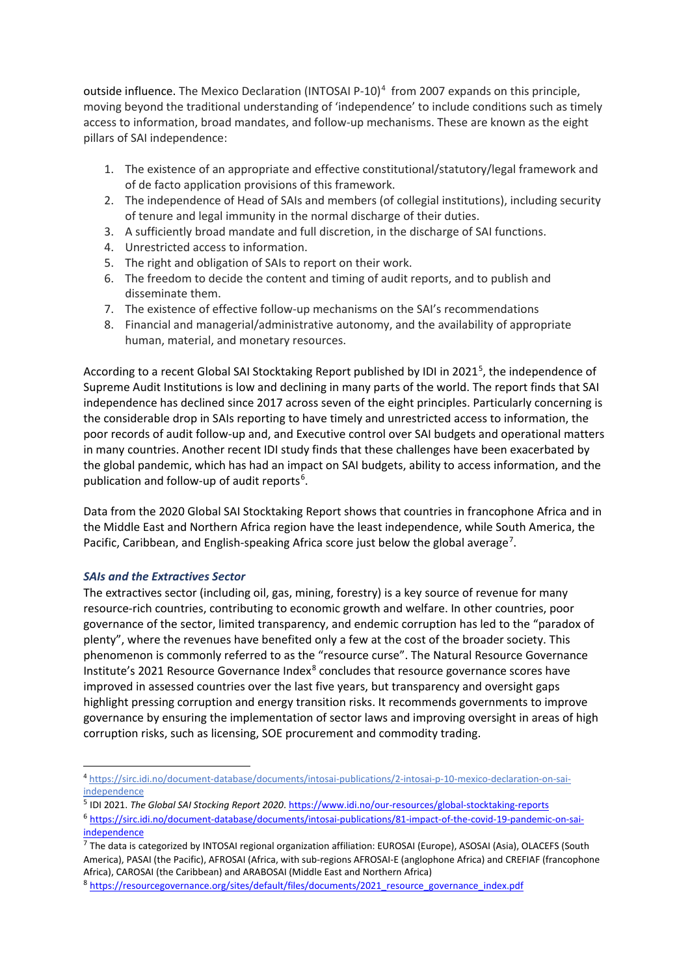outside influence. The Mexico Declaration (INTOSAI P-10)<sup>[4](#page-1-0)</sup> from 2007 expands on this principle, moving beyond the traditional understanding of 'independence' to include conditions such as timely access to information, broad mandates, and follow-up mechanisms. These are known as the eight pillars of SAI independence:

- 1. The existence of an appropriate and effective constitutional/statutory/legal framework and of de facto application provisions of this framework.
- 2. The independence of Head of SAIs and members (of collegial institutions), including security of tenure and legal immunity in the normal discharge of their duties.
- 3. A sufficiently broad mandate and full discretion, in the discharge of SAI functions.
- 4. Unrestricted access to information.
- 5. The right and obligation of SAIs to report on their work.
- 6. The freedom to decide the content and timing of audit reports, and to publish and disseminate them.
- 7. The existence of effective follow-up mechanisms on the SAI's recommendations
- 8. Financial and managerial/administrative autonomy, and the availability of appropriate human, material, and monetary resources.

According to a recent Global SAI Stocktaking Report published by IDI in 2021<sup>[5](#page-1-1)</sup>, the independence of Supreme Audit Institutions is low and declining in many parts of the world. The report finds that SAI independence has declined since 2017 across seven of the eight principles. Particularly concerning is the considerable drop in SAIs reporting to have timely and unrestricted access to information, the poor records of audit follow-up and, and Executive control over SAI budgets and operational matters in many countries. Another recent IDI study finds that these challenges have been exacerbated by the global pandemic, which has had an impact on SAI budgets, ability to access information, and the publication and follow-up of audit reports<sup>[6](#page-1-2)</sup>.

Data from the 2020 Global SAI Stocktaking Report shows that countries in francophone Africa and in the Middle East and Northern Africa region have the least independence, while South America, the Pacific, Caribbean, and English-speaking Africa score just below the global average<sup>[7](#page-1-3)</sup>.

#### *SAIs and the Extractives Sector*

The extractives sector (including oil, gas, mining, forestry) is a key source of revenue for many resource-rich countries, contributing to economic growth and welfare. In other countries, poor governance of the sector, limited transparency, and endemic corruption has led to the "paradox of plenty", where the revenues have benefited only a few at the cost of the broader society. This phenomenon is commonly referred to as the "resource curse". The Natural Resource Governance Institute's 2021 Resource Governance Index<sup>[8](#page-1-4)</sup> concludes that resource governance scores have improved in assessed countries over the last five years, but transparency and oversight gaps highlight pressing corruption and energy transition risks. It recommends governments to improve governance by ensuring the implementation of sector laws and improving oversight in areas of high corruption risks, such as licensing, SOE procurement and commodity trading.

<span id="page-1-1"></span><sup>5</sup> IDI 2021. *The Global SAI Stocking Report 2020*. <https://www.idi.no/our-resources/global-stocktaking-reports>

<span id="page-1-0"></span><sup>4</sup> [https://sirc.idi.no/document-database/documents/intosai-publications/2-intosai-p-10-mexico-declaration-on-sai](https://sirc.idi.no/document-database/documents/intosai-publications/2-intosai-p-10-mexico-declaration-on-sai-independence)[independence](https://sirc.idi.no/document-database/documents/intosai-publications/2-intosai-p-10-mexico-declaration-on-sai-independence)

<span id="page-1-2"></span><sup>6</sup> [https://sirc.idi.no/document-database/documents/intosai-publications/81-impact-of-the-covid-19-pandemic-on-sai](https://sirc.idi.no/document-database/documents/intosai-publications/81-impact-of-the-covid-19-pandemic-on-sai-independence)[independence](https://sirc.idi.no/document-database/documents/intosai-publications/81-impact-of-the-covid-19-pandemic-on-sai-independence)

<span id="page-1-3"></span><sup>&</sup>lt;sup>7</sup> The data is categorized by INTOSAI regional organization affiliation: EUROSAI (Europe), ASOSAI (Asia), OLACEFS (South America), PASAI (the Pacific), AFROSAI (Africa, with sub-regions AFROSAI-E (anglophone Africa) and CREFIAF (francophone Africa), CAROSAI (the Caribbean) and ARABOSAI (Middle East and Northern Africa)<br><sup>8</sup> [https://resourcegovernance.org/sites/default/files/documents/2021\\_resource\\_governance\\_index.pdf](https://resourcegovernance.org/sites/default/files/documents/2021_resource_governance_index.pdf)

<span id="page-1-4"></span>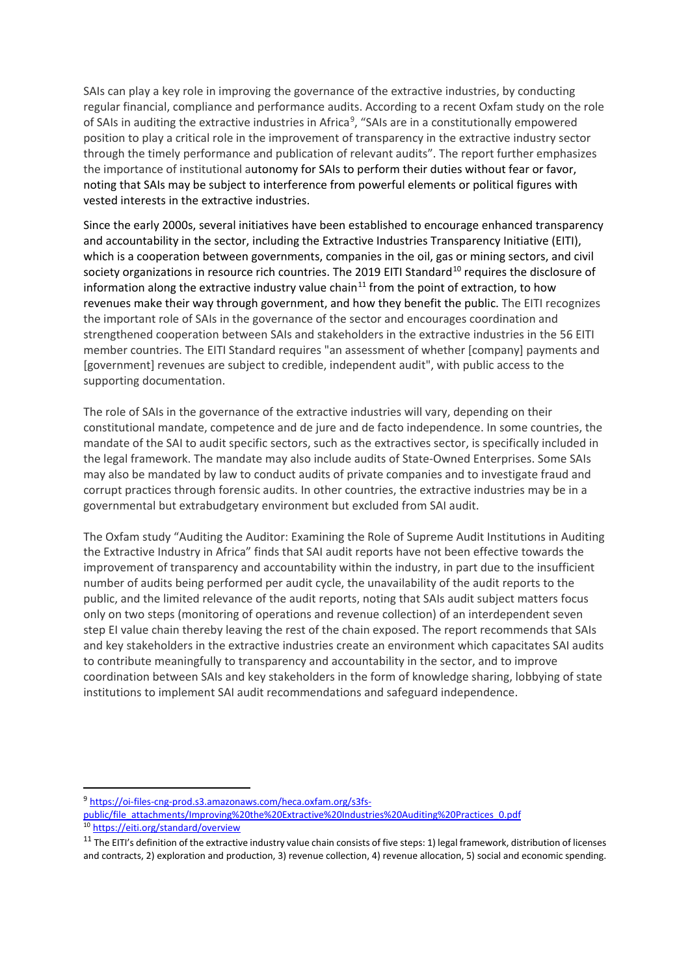SAIs can play a key role in improving the governance of the extractive industries, by conducting regular financial, compliance and performance audits. According to a recent Oxfam study on the role of SAIs in auditing the extractive industries in Africa<sup>[9](#page-2-0)</sup>, "SAIs are in a constitutionally empowered position to play a critical role in the improvement of transparency in the extractive industry sector through the timely performance and publication of relevant audits". The report further emphasizes the importance of institutional autonomy for SAIs to perform their duties without fear or favor, noting that SAIs may be subject to interference from powerful elements or political figures with vested interests in the extractive industries.

Since the early 2000s, several initiatives have been established to encourage enhanced transparency and accountability in the sector, including the Extractive Industries Transparency Initiative (EITI), which is a cooperation between governments, companies in the oil, gas or mining sectors, and civil society organizations in resource rich countries. The 2019 EITI Standard<sup>[10](#page-2-1)</sup> requires the disclosure of information along the extractive industry value chain<sup>[11](#page-2-2)</sup> from the point of extraction, to how revenues make their way through government, and how they benefit the public. The EITI recognizes the important role of SAIs in the governance of the sector and encourages coordination and strengthened cooperation between SAIs and stakeholders in the extractive industries in the 56 EITI member countries. The EITI Standard requires "an assessment of whether [company] payments and [government] revenues are subject to credible, independent audit", with public access to the supporting documentation.

The role of SAIs in the governance of the extractive industries will vary, depending on their constitutional mandate, competence and de jure and de facto independence. In some countries, the mandate of the SAI to audit specific sectors, such as the extractives sector, is specifically included in the legal framework. The mandate may also include audits of State-Owned Enterprises. Some SAIs may also be mandated by law to conduct audits of private companies and to investigate fraud and corrupt practices through forensic audits. In other countries, the extractive industries may be in a governmental but extrabudgetary environment but excluded from SAI audit.

The Oxfam study "Auditing the Auditor: Examining the Role of Supreme Audit Institutions in Auditing the Extractive Industry in Africa" finds that SAI audit reports have not been effective towards the improvement of transparency and accountability within the industry, in part due to the insufficient number of audits being performed per audit cycle, the unavailability of the audit reports to the public, and the limited relevance of the audit reports, noting that SAIs audit subject matters focus only on two steps (monitoring of operations and revenue collection) of an interdependent seven step EI value chain thereby leaving the rest of the chain exposed. The report recommends that SAIs and key stakeholders in the extractive industries create an environment which capacitates SAI audits to contribute meaningfully to transparency and accountability in the sector, and to improve coordination between SAIs and key stakeholders in the form of knowledge sharing, lobbying of state institutions to implement SAI audit recommendations and safeguard independence.

<span id="page-2-0"></span><sup>9</sup> [https://oi-files-cng-prod.s3.amazonaws.com/heca.oxfam.org/s3fs-](https://oi-files-cng-prod.s3.amazonaws.com/heca.oxfam.org/s3fs-public/file_attachments/Improving%20the%20Extractive%20Industries%20Auditing%20Practices_0.pdf)

[public/file\\_attachments/Improving%20the%20Extractive%20Industries%20Auditing%20Practices\\_0.pdf](https://oi-files-cng-prod.s3.amazonaws.com/heca.oxfam.org/s3fs-public/file_attachments/Improving%20the%20Extractive%20Industries%20Auditing%20Practices_0.pdf) <sup>10</sup> <https://eiti.org/standard/overview>

<span id="page-2-2"></span><span id="page-2-1"></span> $11$  The EITI's definition of the extractive industry value chain consists of five steps: 1) legal framework, distribution of licenses and contracts, 2) exploration and production, 3) revenue collection, 4) revenue allocation, 5) social and economic spending.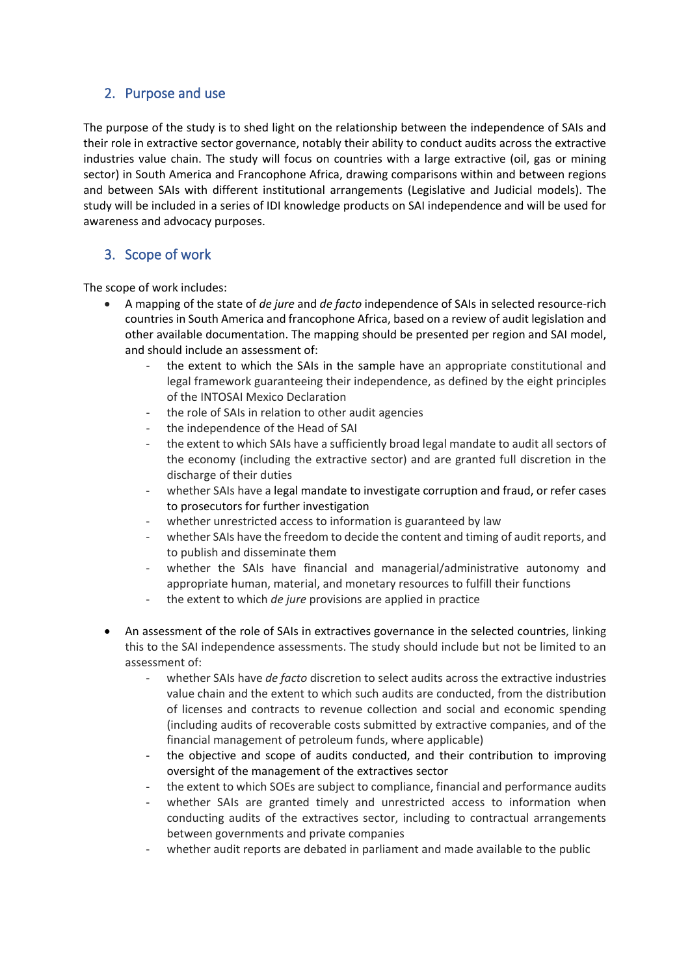#### 2. Purpose and use

The purpose of the study is to shed light on the relationship between the independence of SAIs and their role in extractive sector governance, notably their ability to conduct audits across the extractive industries value chain. The study will focus on countries with a large extractive (oil, gas or mining sector) in South America and Francophone Africa, drawing comparisons within and between regions and between SAIs with different institutional arrangements (Legislative and Judicial models). The study will be included in a series of IDI knowledge products on SAI independence and will be used for awareness and advocacy purposes.

## 3. Scope of work

The scope of work includes:

- A mapping of the state of *de jure* and *de facto* independence of SAIs in selected resource-rich countries in South America and francophone Africa, based on a review of audit legislation and other available documentation. The mapping should be presented per region and SAI model, and should include an assessment of:
	- the extent to which the SAIs in the sample have an appropriate constitutional and legal framework guaranteeing their independence, as defined by the eight principles of the INTOSAI Mexico Declaration
	- the role of SAIs in relation to other audit agencies
	- the independence of the Head of SAI
	- the extent to which SAIs have a sufficiently broad legal mandate to audit all sectors of the economy (including the extractive sector) and are granted full discretion in the discharge of their duties
	- whether SAIs have a legal mandate to investigate corruption and fraud, or refer cases to prosecutors for further investigation
	- whether unrestricted access to information is guaranteed by law
	- whether SAIs have the freedom to decide the content and timing of audit reports, and to publish and disseminate them
	- whether the SAIs have financial and managerial/administrative autonomy and appropriate human, material, and monetary resources to fulfill their functions
	- the extent to which *de jure* provisions are applied in practice
- An assessment of the role of SAIs in extractives governance in the selected countries, linking this to the SAI independence assessments. The study should include but not be limited to an assessment of:
	- whether SAIs have *de facto* discretion to select audits across the extractive industries value chain and the extent to which such audits are conducted, from the distribution of licenses and contracts to revenue collection and social and economic spending (including audits of recoverable costs submitted by extractive companies, and of the financial management of petroleum funds, where applicable)
	- the objective and scope of audits conducted, and their contribution to improving oversight of the management of the extractives sector
	- the extent to which SOEs are subject to compliance, financial and performance audits
	- whether SAIs are granted timely and unrestricted access to information when conducting audits of the extractives sector, including to contractual arrangements between governments and private companies
	- whether audit reports are debated in parliament and made available to the public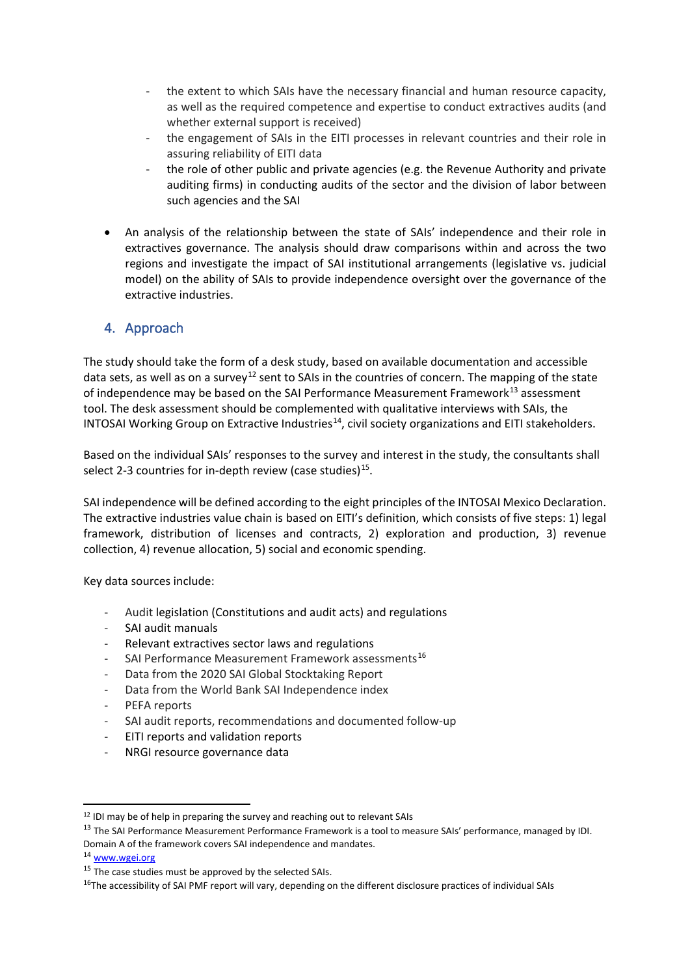- the extent to which SAIs have the necessary financial and human resource capacity, as well as the required competence and expertise to conduct extractives audits (and whether external support is received)
- the engagement of SAIs in the EITI processes in relevant countries and their role in assuring reliability of EITI data
- the role of other public and private agencies (e.g. the Revenue Authority and private auditing firms) in conducting audits of the sector and the division of labor between such agencies and the SAI
- An analysis of the relationship between the state of SAIs' independence and their role in extractives governance. The analysis should draw comparisons within and across the two regions and investigate the impact of SAI institutional arrangements (legislative vs. judicial model) on the ability of SAIs to provide independence oversight over the governance of the extractive industries.

#### 4. Approach

The study should take the form of a desk study, based on available documentation and accessible data sets, as well as on a survey<sup>[12](#page-4-0)</sup> sent to SAIs in the countries of concern. The mapping of the state of independence may be based on the SAI Performance Measurement Framework<sup>[13](#page-4-1)</sup> assessment tool. The desk assessment should be complemented with qualitative interviews with SAIs, the INTOSAI Working Group on Extractive Industries<sup>14</sup>, civil society organizations and EITI stakeholders.

Based on the individual SAIs' responses to the survey and interest in the study, the consultants shall select 2-3 countries for in-depth review (case studies) $^{15}$ .

SAI independence will be defined according to the eight principles of the INTOSAI Mexico Declaration. The extractive industries value chain is based on EITI's definition, which consists of five steps: 1) legal framework, distribution of licenses and contracts, 2) exploration and production, 3) revenue collection, 4) revenue allocation, 5) social and economic spending.

Key data sources include:

- Audit legislation (Constitutions and audit acts) and regulations
- SAI audit manuals
- Relevant extractives sector laws and regulations
- SAI Performance Measurement Framework assessments<sup>[16](#page-4-4)</sup>
- Data from the 2020 SAI Global Stocktaking Report
- Data from the World Bank SAI Independence index
- PEFA reports
- SAI audit reports, recommendations and documented follow-up
- EITI reports and validation reports
- NRGI resource governance data

<span id="page-4-0"></span><sup>&</sup>lt;sup>12</sup> IDI may be of help in preparing the survey and reaching out to relevant SAIs

<span id="page-4-1"></span><sup>&</sup>lt;sup>13</sup> The SAI Performance Measurement Performance Framework is a tool to measure SAIs' performance, managed by IDI. Domain A of the framework covers SAI independence and mandates.<br><sup>14</sup> [www.wgei.org](http://www.wgei.org/)

<span id="page-4-4"></span><span id="page-4-3"></span><span id="page-4-2"></span><sup>&</sup>lt;sup>15</sup> The case studies must be approved by the selected SAIs.<br><sup>16</sup>The accessibility of SAI PMF report will vary, depending on the different disclosure practices of individual SAIs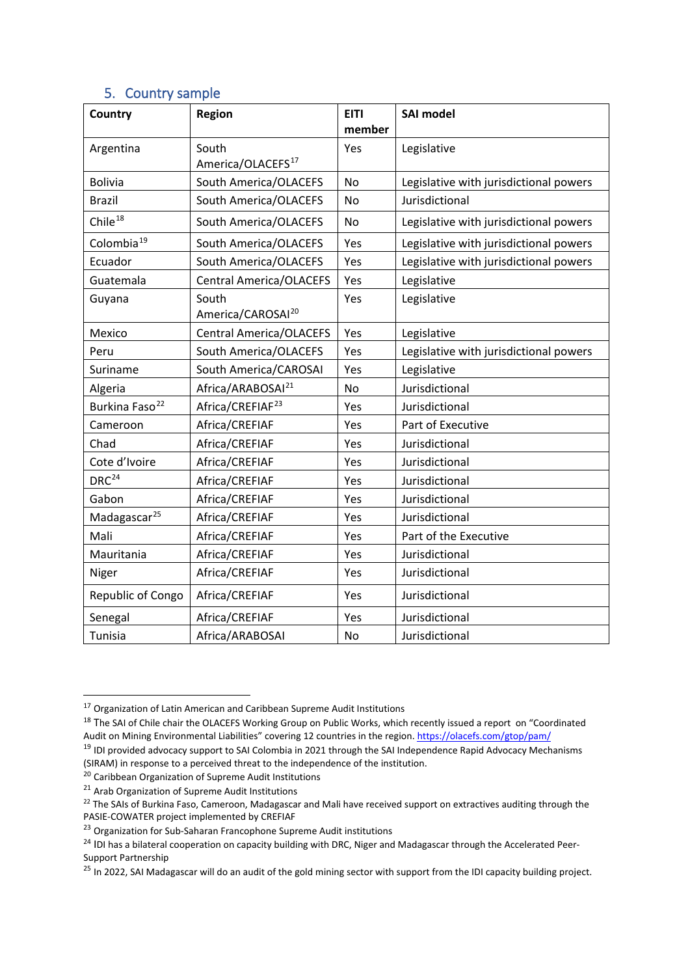#### 5. Country sample

| Country                    | <b>Region</b>                          | <b>EITI</b><br>member | <b>SAI model</b>                       |
|----------------------------|----------------------------------------|-----------------------|----------------------------------------|
| Argentina                  | South<br>America/OLACEFS <sup>17</sup> | Yes                   | Legislative                            |
| <b>Bolivia</b>             | South America/OLACEFS                  | <b>No</b>             | Legislative with jurisdictional powers |
| <b>Brazil</b>              | South America/OLACEFS                  | No                    | Jurisdictional                         |
| Chile <sup>18</sup>        | South America/OLACEFS                  | No                    | Legislative with jurisdictional powers |
| Colombia <sup>19</sup>     | South America/OLACEFS                  | Yes                   | Legislative with jurisdictional powers |
| Ecuador                    | South America/OLACEFS                  | Yes                   | Legislative with jurisdictional powers |
| Guatemala                  | <b>Central America/OLACEFS</b>         | Yes                   | Legislative                            |
| Guyana                     | South<br>America/CAROSAI <sup>20</sup> | Yes                   | Legislative                            |
| Mexico                     | <b>Central America/OLACEFS</b>         | Yes                   | Legislative                            |
| Peru                       | South America/OLACEFS                  | Yes                   | Legislative with jurisdictional powers |
| Suriname                   | South America/CAROSAI                  | Yes                   | Legislative                            |
| Algeria                    | Africa/ARABOSAI <sup>21</sup>          | No                    | Jurisdictional                         |
| Burkina Faso <sup>22</sup> | Africa/CREFIAF <sup>23</sup>           | Yes                   | Jurisdictional                         |
| Cameroon                   | Africa/CREFIAF                         | Yes                   | Part of Executive                      |
| Chad                       | Africa/CREFIAF                         | Yes                   | Jurisdictional                         |
| Cote d'Ivoire              | Africa/CREFIAF                         | Yes                   | Jurisdictional                         |
| DRC <sup>24</sup>          | Africa/CREFIAF                         | Yes                   | Jurisdictional                         |
| Gabon                      | Africa/CREFIAF                         | Yes                   | Jurisdictional                         |
| Madagascar <sup>25</sup>   | Africa/CREFIAF                         | Yes                   | Jurisdictional                         |
| Mali                       | Africa/CREFIAF                         | Yes                   | Part of the Executive                  |
| Mauritania                 | Africa/CREFIAF                         | Yes                   | Jurisdictional                         |
| Niger                      | Africa/CREFIAF                         | Yes                   | Jurisdictional                         |
| Republic of Congo          | Africa/CREFIAF                         | Yes                   | Jurisdictional                         |
| Senegal                    | Africa/CREFIAF                         | Yes                   | Jurisdictional                         |
| Tunisia                    | Africa/ARABOSAI                        | No                    | Jurisdictional                         |

<span id="page-5-1"></span><span id="page-5-0"></span><sup>&</sup>lt;sup>17</sup> Organization of Latin American and Caribbean Supreme Audit Institutions<br><sup>18</sup> The SAI of Chile chair the OLACEFS Working Group on Public Works, which recently issued a report on "Coordinated Audit on Mining Environmental Liabilities" covering 12 countries in the region[. https://olacefs.com/gtop/pam/](https://eur01.safelinks.protection.outlook.com/?url=https%3A%2F%2Folacefs.com%2Fgtop%2Fpam%2F&data=04%7C01%7Cmarte.briseid%40idi.no%7C795d917ae5de451e132608da0b429f0a%7C91c9074f7bf247269c897b2bcf56bd20%7C0%7C0%7C637834678011770873%7CUnknown%7CTWFpbGZsb3d8eyJWIjoiMC4wLjAwMDAiLCJQIjoiV2luMzIiLCJBTiI6Ik1haWwiLCJXVCI6Mn0%3D%7C3000&sdata=msQWUAEKyWqHr2ai%2Bl%2Bp4miVbdohAm4NXrxWaydR584%3D&reserved=0)

<span id="page-5-2"></span><sup>&</sup>lt;sup>19</sup> IDI provided advocacy support to SAI Colombia in 2021 through the SAI Independence Rapid Advocacy Mechanisms (SIRAM) in response to a perceived threat to the independence of the institution.

<span id="page-5-3"></span><sup>20</sup> Caribbean Organization of Supreme Audit Institutions

<span id="page-5-4"></span><sup>&</sup>lt;sup>21</sup> Arab Organization of Supreme Audit Institutions

<span id="page-5-5"></span><sup>&</sup>lt;sup>22</sup> The SAIs of Burkina Faso, Cameroon, Madagascar and Mali have received support on extractives auditing through the PASIE-COWATER project implemented by CREFIAF<br><sup>23</sup> Organization for Sub-Saharan Francophone Supreme Audit institutions

<span id="page-5-7"></span><span id="page-5-6"></span><sup>&</sup>lt;sup>24</sup> IDI has a bilateral cooperation on capacity building with DRC, Niger and Madagascar through the Accelerated Peer-Support Partnership

<span id="page-5-8"></span><sup>&</sup>lt;sup>25</sup> In 2022, SAI Madagascar will do an audit of the gold mining sector with support from the IDI capacity building project.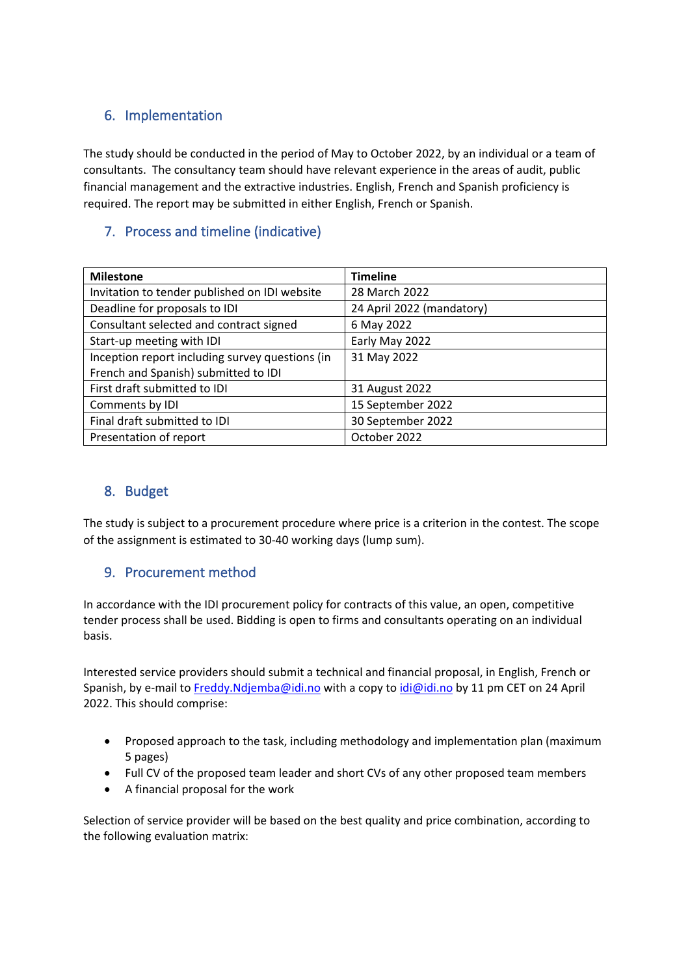## 6. Implementation

The study should be conducted in the period of May to October 2022, by an individual or a team of consultants. The consultancy team should have relevant experience in the areas of audit, public financial management and the extractive industries. English, French and Spanish proficiency is required. The report may be submitted in either English, French or Spanish.

# 7. Process and timeline (indicative)

| <b>Milestone</b>                                | <b>Timeline</b>           |  |
|-------------------------------------------------|---------------------------|--|
| Invitation to tender published on IDI website   | 28 March 2022             |  |
| Deadline for proposals to IDI                   | 24 April 2022 (mandatory) |  |
| Consultant selected and contract signed         | 6 May 2022                |  |
| Start-up meeting with IDI                       | Early May 2022            |  |
| Inception report including survey questions (in | 31 May 2022               |  |
| French and Spanish) submitted to IDI            |                           |  |
| First draft submitted to IDI                    | 31 August 2022            |  |
| Comments by IDI                                 | 15 September 2022         |  |
| Final draft submitted to IDI                    | 30 September 2022         |  |
| Presentation of report                          | October 2022              |  |

#### 8. Budget

The study is subject to a procurement procedure where price is a criterion in the contest. The scope of the assignment is estimated to 30-40 working days (lump sum).

## 9. Procurement method

In accordance with the IDI procurement policy for contracts of this value, an open, competitive tender process shall be used. Bidding is open to firms and consultants operating on an individual basis.

Interested service providers should submit a technical and financial proposal, in English, French or Spanish, by e-mail to Freddy.Ndjemba@idi.no with a copy to [idi@idi.no](mailto:idi@idi.no) by 11 pm CET on 24 April 2022. This should comprise:

- Proposed approach to the task, including methodology and implementation plan (maximum 5 pages)
- Full CV of the proposed team leader and short CVs of any other proposed team members
- A financial proposal for the work

Selection of service provider will be based on the best quality and price combination, according to the following evaluation matrix: